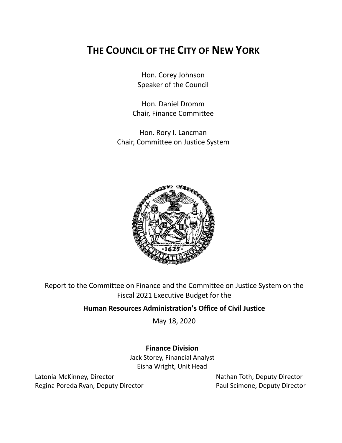# **THE COUNCIL OF THE CITY OF NEW YORK**

Hon. Corey Johnson Speaker of the Council

Hon. Daniel Dromm Chair, Finance Committee

Hon. Rory I. Lancman Chair, Committee on Justice System



Report to the Committee on Finance and the Committee on Justice System on the Fiscal 2021 Executive Budget for the

# **Human Resources Administration's Office of Civil Justice**

May 18, 2020

# **Finance Division**

Jack Storey, Financial Analyst Eisha Wright, Unit Head

Latonia McKinney, Director Nathan Toth, Deputy Director Regina Poreda Ryan, Deputy Director **Paul Scimone, Deputy Director**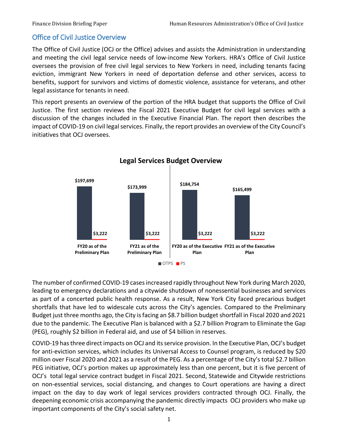## Office of Civil Justice Overview

The Office of Civil Justice (OCJ or the Office) advises and assists the Administration in understanding and meeting the civil legal service needs of low-income New Yorkers. HRA's Office of Civil Justice oversees the provision of free civil legal services to New Yorkers in need, including tenants facing eviction, immigrant New Yorkers in need of deportation defense and other services, access to benefits, support for survivors and victims of domestic violence, assistance for veterans, and other legal assistance for tenants in need.

This report presents an overview of the portion of the HRA budget that supports the Office of Civil Justice. The first section reviews the Fiscal 2021 Executive Budget for civil legal services with a discussion of the changes included in the Executive Financial Plan. The report then describes the impact of COVID-19 on civil legal services. Finally, the report provides an overview of the City Council's initiatives that OCJ oversees.



The number of confirmed COVID-19 cases increased rapidly throughout New York during March 2020, leading to emergency declarations and a citywide shutdown of nonessential businesses and services as part of a concerted public health response. As a result, New York City faced precarious budget shortfalls that have led to widescale cuts across the City's agencies. Compared to the Preliminary Budget just three months ago, the City is facing an \$8.7 billion budget shortfall in Fiscal 2020 and 2021 due to the pandemic. The Executive Plan is balanced with a \$2.7 billion Program to Eliminate the Gap (PEG), roughly \$2 billion in Federal aid, and use of \$4 billion in reserves.

COVID-19 has three direct impacts on OCJ and its service provision. In the Executive Plan, OCJ's budget for anti-eviction services, which includes its Universal Access to Counsel program, is reduced by \$20 million over Fiscal 2020 and 2021 as a result of the PEG. As a percentage of the City's total \$2.7 billion PEG initiative, OCJ's portion makes up approximately less than one percent, but it is five percent of OCJ's total legal service contract budget in Fiscal 2021. Second, Statewide and Citywide restrictions on non-essential services, social distancing, and changes to Court operations are having a direct impact on the day to day work of legal services providers contracted through OCJ. Finally, the deepening economic crisis accompanying the pandemic directly impacts OCJ providers who make up important components of the City's social safety net.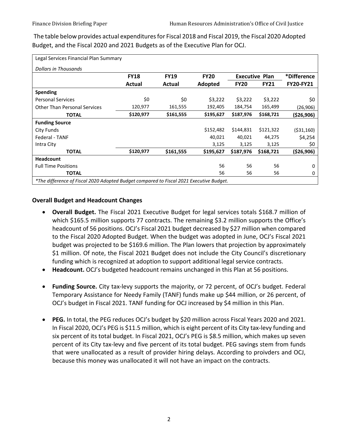The table below provides actual expenditures for Fiscal 2018 and Fiscal 2019, the Fiscal 2020 Adopted Budget, and the Fiscal 2020 and 2021 Budgets as of the Executive Plan for OCJ.

| Legal Services Financial Plan Summary                                                   |             |             |             |                       |             |                  |
|-----------------------------------------------------------------------------------------|-------------|-------------|-------------|-----------------------|-------------|------------------|
| Dollars in Thousands                                                                    |             |             |             |                       |             |                  |
|                                                                                         | <b>FY18</b> | <b>FY19</b> | <b>FY20</b> | <b>Executive Plan</b> |             | *Difference      |
|                                                                                         | Actual      | Actual      | Adopted     | <b>FY20</b>           | <b>FY21</b> | <b>FY20-FY21</b> |
| <b>Spending</b>                                                                         |             |             |             |                       |             |                  |
| <b>Personal Services</b>                                                                | \$0         | \$0         | \$3,222     | \$3,222               | \$3,222     | \$0              |
| <b>Other Than Personal Services</b>                                                     | 120,977     | 161,555     | 192,405     | 184,754               | 165,499     | (26,906)         |
| <b>TOTAL</b>                                                                            | \$120,977   | \$161,555   | \$195,627   | \$187,976             | \$168,721   | (\$26,906)       |
| <b>Funding Source</b>                                                                   |             |             |             |                       |             |                  |
| City Funds                                                                              |             |             | \$152,482   | \$144,831             | \$121,322   | ( \$31,160)      |
| Federal - TANF                                                                          |             |             | 40,021      | 40,021                | 44,275      | \$4,254          |
| Intra City                                                                              |             |             | 3,125       | 3,125                 | 3,125       | \$0              |
| <b>TOTAL</b>                                                                            | \$120,977   | \$161,555   | \$195,627   | \$187,976             | \$168,721   | ( \$26, 906)     |
| <b>Headcount</b>                                                                        |             |             |             |                       |             |                  |
| <b>Full Time Positions</b>                                                              |             |             | 56          | 56                    | 56          | 0                |
| <b>TOTAL</b>                                                                            |             |             | 56          | 56                    | 56          | 0                |
| *The difference of Fiscal 2020 Adopted Budget compared to Fiscal 2021 Executive Budget. |             |             |             |                       |             |                  |

#### **Overall Budget and Headcount Changes**

- **Overall Budget.** The Fiscal 2021 Executive Budget for legal services totals \$168.7 million of which \$165.5 million supports 77 contracts. The remaining \$3.2 million supports the Office's headcount of 56 positions. OCJ's Fiscal 2021 budget decreased by \$27 million when compared to the Fiscal 2020 Adopted Budget. When the budget was adopted in June, OCJ's Fiscal 2021 budget was projected to be \$169.6 million. The Plan lowers that projection by approximately \$1 million. Of note, the Fiscal 2021 Budget does not include the City Council's discretionary funding which is recognized at adoption to support additional legal service contracts.
- **Headcount.** OCJ's budgeted headcount remains unchanged in this Plan at 56 positions.
- **Funding Source.** City tax-levy supports the majority, or 72 percent, of OCJ's budget. Federal Temporary Assistance for Needy Family (TANF) funds make up \$44 million, or 26 percent, of OCJ's budget in Fiscal 2021. TANF funding for OCJ increased by \$4 million in this Plan.
- **PEG.** In total, the PEG reduces OCJ's budget by \$20 million across Fiscal Years 2020 and 2021. In Fiscal 2020, OCJ's PEG is \$11.5 million, which is eight percent of its City tax-levy funding and six percent of its total budget. In Fiscal 2021, OCJ's PEG is \$8.5 million, which makes up seven percent of its City tax-levy and five percent of its total budget. PEG savings stem from funds that were unallocated as a result of provider hiring delays. According to proivders and OCJ, because this money was unallocated it will not have an impact on the contracts.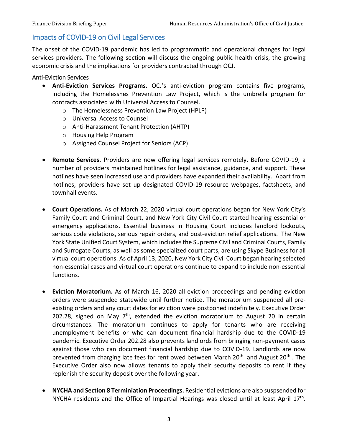## Impacts of COVID-19 on Civil Legal Services

The onset of the COVID-19 pandemic has led to programmatic and operational changes for legal services providers. The following section will discuss the ongoing public health crisis, the growing economic crisis and the implications for providers contracted through OCJ.

#### Anti-Eviction Services

- **Anti-Eviction Services Programs.** OCJ's anti-eviction program contains five programs, including the Homelessnes Prevention Law Project, which is the umbrella program for contracts associated with Universal Access to Counsel.
	- o The Homelessness Prevention Law Project (HPLP)
	- o Universal Access to Counsel
	- o Anti-Harassment Tenant Protection (AHTP)
	- o Housing Help Program
	- o Assigned Counsel Project for Seniors (ACP)
- **Remote Services.** Providers are now offering legal services remotely. Before COVID-19, a number of providers maintained hotlines for legal assistance, guidance, and support. These hotlines have seen increased use and providers have expanded their availability. Apart from hotlines, providers have set up designated COVID-19 resource webpages, factsheets, and townhall events.
- **Court Operations.** As of March 22, 2020 virtual court operations began for New York City's Family Court and Criminal Court, and New York City Civil Court started hearing essential or emergency applications. Essential business in Housing Court includes landlord lockouts, serious code violations, serious repair orders, and post-eviction relief applications. The New York State Unified Court System, which includes the Supreme Civil and Criminal Courts, Family and Surrogate Courts, as well as some specialized court parts, are using Skype Business for all virtual court operations. As of April 13, 2020, New York City Civil Court began hearing selected non-essential cases and virtual court operations continue to expand to include non-essential functions.
- **Eviction Moratorium.** As of March 16, 2020 all eviction proceedings and pending eviction orders were suspended statewide until further notice. The moratorium suspended all preexisting orders and any court dates for eviction were postponed indefinitely. Executive Order 202.28, signed on May  $7<sup>th</sup>$ , extended the eviction moratorium to August 20 in certain circumstances. The moratorium continues to apply for tenants who are receiving unemployment benefits or who can document financial hardship due to the COVID-19 pandemic. Executive Order 202.28 also prevents landlords from bringing non-payment cases against those who can document financial hardship due to COVID-19. Landlords are now prevented from charging late fees for rent owed between March 20<sup>th</sup> and August 20<sup>th</sup>. The Executive Order also now allows tenants to apply their security deposits to rent if they replenish the security deposit over the following year.
- **NYCHA and Section 8 Terminiation Proceedings.** Residential evictions are also suspsended for NYCHA residents and the Office of Impartial Hearings was closed until at least April  $17<sup>th</sup>$ .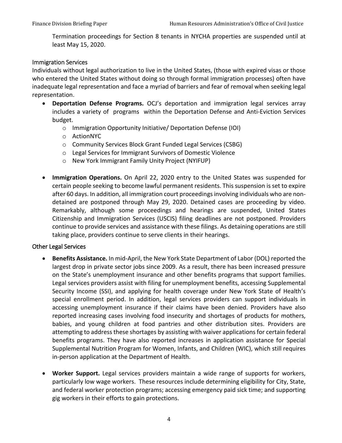Termination proceedings for Section 8 tenants in NYCHA properties are suspended until at least May 15, 2020.

#### Immigration Services

Individuals without legal authorization to live in the United States, (those with expired visas or those who entered the United States without doing so through formal immigration processes) often have inadequate legal representation and face a myriad of barriers and fear of removal when seeking legal representation.

- **Deportation Defense Programs.** OCJ's deportation and immigration legal services array includes a variety of programs within the Deportation Defense and Anti-Eviction Services budget.
	- o Immigration Opportunity Initiative/ Deportation Defense (IOI)
	- o ActionNYC
	- o Community Services Block Grant Funded Legal Services (CSBG)
	- o Legal Services for Immigrant Survivors of Domestic Violence
	- o New York Immigrant Family Unity Project (NYIFUP)
- **Immigration Operations.** On April 22, 2020 entry to the United States was suspended for certain people seeking to become lawful permanent residents. This suspension is set to expire after 60 days. In addition, all immigration court proceedings involving individuals who are nondetained are postponed through May 29, 2020. Detained cases are proceeding by video. Remarkably, although some proceedings and hearings are suspended, United States Citizenship and Immigration Services (USCIS) filing deadlines are not postponed. Providers continue to provide services and assistance with these filings. As detaining operations are still taking place, providers continue to serve clients in their hearings.

### Other Legal Services

- **Benefits Assistance.** In mid-April, the New York State Department of Labor (DOL) reported the largest drop in private sector jobs since 2009. As a result, there has been increased pressure on the State's unemployment insurance and other benefits programs that support families. Legal services providers assist with filing for unemployment benefits, accessing Supplemental Security Income (SSI), and applying for health coverage under New York State of Health's special enrollment period. In addition, legal services providers can support individuals in accessing unemployment insurance if their claims have been denied. Providers have also reported increasing cases involving food insecurity and shortages of products for mothers, babies, and young children at food pantries and other distribution sites. Providers are attempting to address these shortages by assisting with waiver applications for certain federal benefits programs. They have also reported increases in application assistance for Special Supplemental Nutrition Program for Women, Infants, and Children (WIC), which still requires in-person application at the Department of Health.
- **Worker Support.** Legal services providers maintain a wide range of supports for workers, particularly low wage workers. These resources include determining eligibility for City, State, and federal worker protection programs; accessing emergency paid sick time; and supporting gig workers in their efforts to gain protections.